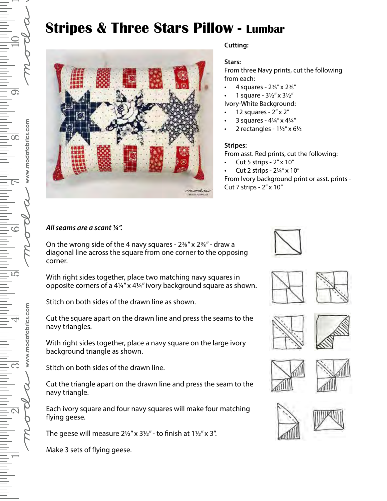# **Stripes & Three Stars Pillow - Lumbar**



### **Cutting:**

#### **Stars:**

From three Navy prints, cut the following from each:

- 4 squares 2⅜" x 2⅜"
- 1 square 3½" x 3½"
- Ivory-White Background:
- 12 squares 2" x 2"
- 3 squares 4¼" x 4¼"
- 2 rectangles  $1\frac{1}{2}$ " x 6 $\frac{1}{2}$

#### **Stripes:**

From asst. Red prints, cut the following:

- Cut 5 strips 2" x 10"
- Cut 2 strips 2¼" x 10"

From Ivory background print or asst. prints - Cut 7 strips - 2" x 10"

## *All seams are a scant ¼".*

On the wrong side of the 4 navy squares -  $2\frac{3}{8}$ " x  $2\frac{3}{8}$ " - draw a diagonal line across the square from one corner to the opposing corner.

With right sides together, place two matching navy squares in opposite corners of a 4¼" x 4¼" ivory background square as shown.

Stitch on both sides of the drawn line as shown.

Cut the square apart on the drawn line and press the seams to the navy triangles.

With right sides together, place a navy square on the large ivory background triangle as shown.

Stitch on both sides of the drawn line.

Cut the triangle apart on the drawn line and press the seam to the navy triangle.

Each ivory square and four navy squares will make four matching flying geese.

The geese will measure  $2\frac{1}{2}$ " x  $3\frac{1}{2}$ " - to finish at  $1\frac{1}{2}$ " x 3".

Make 3 sets of flying geese.